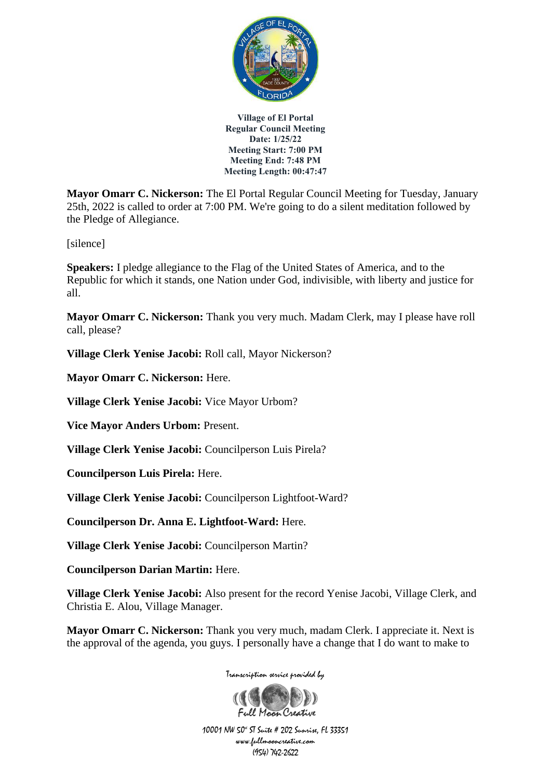

**Mayor Omarr C. Nickerson:** The El Portal Regular Council Meeting for Tuesday, January 25th, 2022 is called to order at 7:00 PM. We're going to do a silent meditation followed by the Pledge of Allegiance.

[silence]

**Speakers:** I pledge allegiance to the Flag of the United States of America, and to the Republic for which it stands, one Nation under God, indivisible, with liberty and justice for all.

**Mayor Omarr C. Nickerson:** Thank you very much. Madam Clerk, may I please have roll call, please?

**Village Clerk Yenise Jacobi:** Roll call, Mayor Nickerson?

**Mayor Omarr C. Nickerson:** Here.

**Village Clerk Yenise Jacobi:** Vice Mayor Urbom?

**Vice Mayor Anders Urbom:** Present.

**Village Clerk Yenise Jacobi:** Councilperson Luis Pirela?

**Councilperson Luis Pirela:** Here.

**Village Clerk Yenise Jacobi:** Councilperson Lightfoot-Ward?

**Councilperson Dr. Anna E. Lightfoot-Ward:** Here.

**Village Clerk Yenise Jacobi:** Councilperson Martin?

**Councilperson Darian Martin:** Here.

**Village Clerk Yenise Jacobi:** Also present for the record Yenise Jacobi, Village Clerk, and Christia E. Alou, Village Manager.

**Mayor Omarr C. Nickerson:** Thank you very much, madam Clerk. I appreciate it. Next is the approval of the agenda, you guys. I personally have a change that I do want to make to

Transcription service provided by

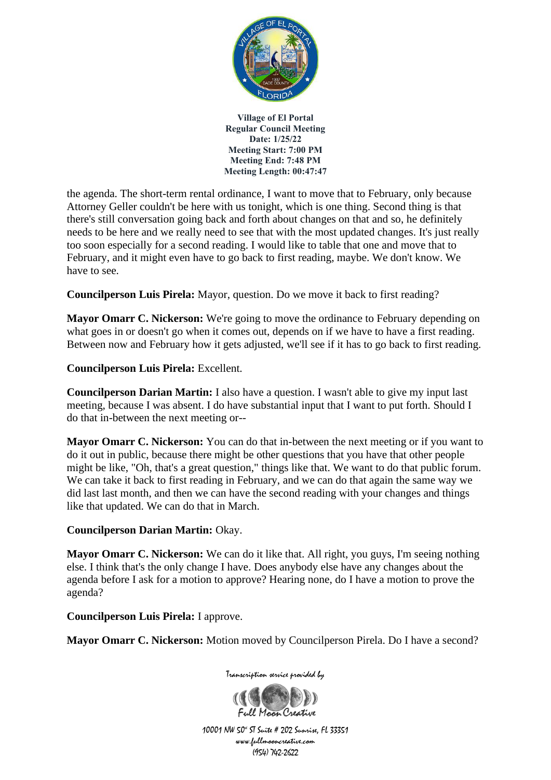

the agenda. The short-term rental ordinance, I want to move that to February, only because Attorney Geller couldn't be here with us tonight, which is one thing. Second thing is that there's still conversation going back and forth about changes on that and so, he definitely needs to be here and we really need to see that with the most updated changes. It's just really too soon especially for a second reading. I would like to table that one and move that to February, and it might even have to go back to first reading, maybe. We don't know. We have to see.

**Councilperson Luis Pirela:** Mayor, question. Do we move it back to first reading?

**Mayor Omarr C. Nickerson:** We're going to move the ordinance to February depending on what goes in or doesn't go when it comes out, depends on if we have to have a first reading. Between now and February how it gets adjusted, we'll see if it has to go back to first reading.

**Councilperson Luis Pirela:** Excellent.

**Councilperson Darian Martin:** I also have a question. I wasn't able to give my input last meeting, because I was absent. I do have substantial input that I want to put forth. Should I do that in-between the next meeting or--

**Mayor Omarr C. Nickerson:** You can do that in-between the next meeting or if you want to do it out in public, because there might be other questions that you have that other people might be like, "Oh, that's a great question," things like that. We want to do that public forum. We can take it back to first reading in February, and we can do that again the same way we did last last month, and then we can have the second reading with your changes and things like that updated. We can do that in March.

## **Councilperson Darian Martin:** Okay.

**Mayor Omarr C. Nickerson:** We can do it like that. All right, you guys, I'm seeing nothing else. I think that's the only change I have. Does anybody else have any changes about the agenda before I ask for a motion to approve? Hearing none, do I have a motion to prove the agenda?

**Councilperson Luis Pirela:** I approve.

**Mayor Omarr C. Nickerson:** Motion moved by Councilperson Pirela. Do I have a second?



Transcription service provided by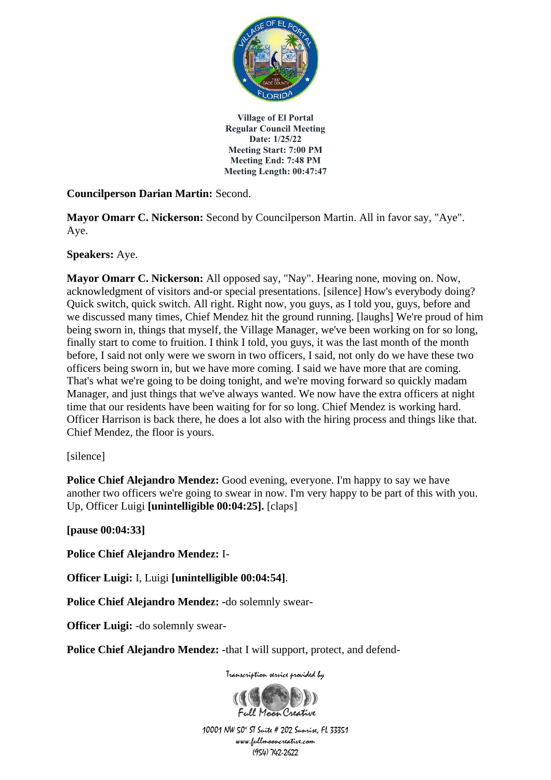

**Councilperson Darian Martin:** Second.

**Mayor Omarr C. Nickerson:** Second by Councilperson Martin. All in favor say, "Aye". Aye.

**Speakers:** Aye.

**Mayor Omarr C. Nickerson:** All opposed say, "Nay". Hearing none, moving on. Now, acknowledgment of visitors and-or special presentations. [silence] How's everybody doing? Quick switch, quick switch. All right. Right now, you guys, as I told you, guys, before and we discussed many times, Chief Mendez hit the ground running. [laughs] We're proud of him being sworn in, things that myself, the Village Manager, we've been working on for so long, finally start to come to fruition. I think I told, you guys, it was the last month of the month before, I said not only were we sworn in two officers, I said, not only do we have these two officers being sworn in, but we have more coming. I said we have more that are coming. That's what we're going to be doing tonight, and we're moving forward so quickly madam Manager, and just things that we've always wanted. We now have the extra officers at night time that our residents have been waiting for for so long. Chief Mendez is working hard. Officer Harrison is back there, he does a lot also with the hiring process and things like that. Chief Mendez, the floor is yours.

[silence]

**Police Chief Alejandro Mendez:** Good evening, everyone. I'm happy to say we have another two officers we're going to swear in now. I'm very happy to be part of this with you. Up, Officer Luigi **[unintelligible 00:04:25].** [claps]

**[pause 00:04:33]**

**Police Chief Alejandro Mendez:** I-

**Officer Luigi:** I, Luigi **[unintelligible 00:04:54]**.

**Police Chief Alejandro Mendez: -**do solemnly swear-

**Officer Luigi:** -do solemnly swear-

**Police Chief Alejandro Mendez: -**that I will support, protect, and defend-

Transcription service provided by

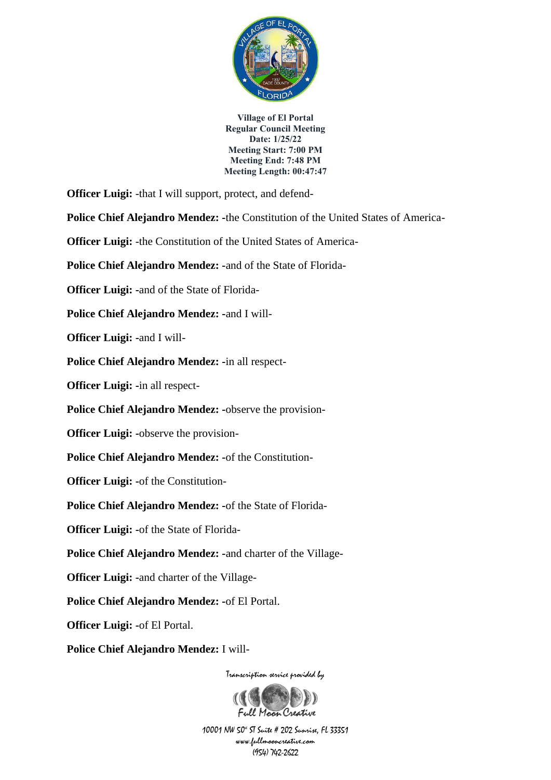

**Officer Luigi:** -that I will support, protect, and defend-

**Police Chief Alejandro Mendez: -**the Constitution of the United States of America-

**Officer Luigi: -the Constitution of the United States of America-**

**Police Chief Alejandro Mendez: -**and of the State of Florida-

**Officer Luigi: -**and of the State of Florida-

**Police Chief Alejandro Mendez: -**and I will-

**Officer Luigi: -**and I will-

**Police Chief Alejandro Mendez: -**in all respect-

**Officer Luigi: -**in all respect-

**Police Chief Alejandro Mendez: -**observe the provision-

**Officer Luigi: -**observe the provision-

**Police Chief Alejandro Mendez: -**of the Constitution-

**Officer Luigi: -**of the Constitution-

**Police Chief Alejandro Mendez: -**of the State of Florida-

**Officer Luigi: -**of the State of Florida-

**Police Chief Alejandro Mendez: -**and charter of the Village-

**Officer Luigi: -**and charter of the Village-

**Police Chief Alejandro Mendez: -**of El Portal.

**Officer Luigi: -**of El Portal.

**Police Chief Alejandro Mendez:** I will-

Transcription service provided by

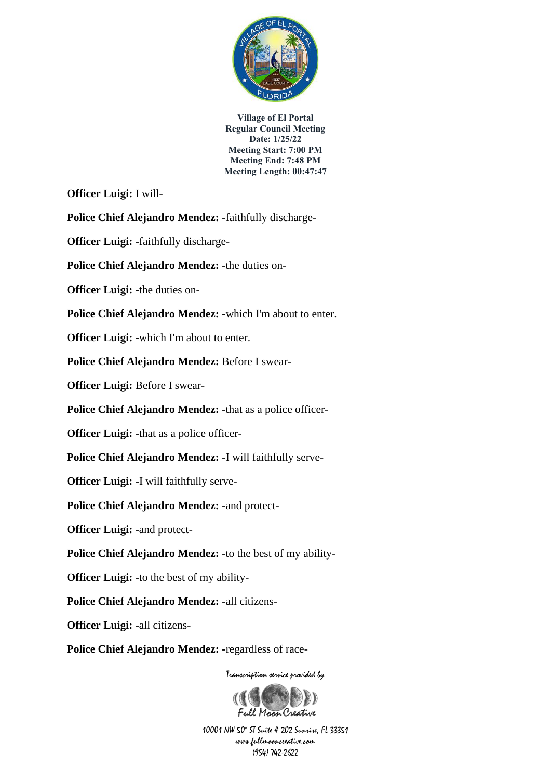

**Officer Luigi:** I will-

**Police Chief Alejandro Mendez: -**faithfully discharge-

**Officer Luigi: -**faithfully discharge-

**Police Chief Alejandro Mendez: -**the duties on-

**Officer Luigi: -**the duties on-

**Police Chief Alejandro Mendez: -**which I'm about to enter.

**Officer Luigi: -**which I'm about to enter.

**Police Chief Alejandro Mendez:** Before I swear-

**Officer Luigi:** Before I swear-

**Police Chief Alejandro Mendez: -**that as a police officer-

**Officer Luigi: -**that as a police officer-

**Police Chief Alejandro Mendez: -**I will faithfully serve-

**Officer Luigi: -**I will faithfully serve-

**Police Chief Alejandro Mendez: -**and protect-

**Officer Luigi: -**and protect-

**Police Chief Alejandro Mendez: -**to the best of my ability-

**Officer Luigi: -**to the best of my ability-

**Police Chief Alejandro Mendez: -**all citizens-

**Officer Luigi: -**all citizens-

**Police Chief Alejandro Mendez: -**regardless of race-

Transcription service provided by

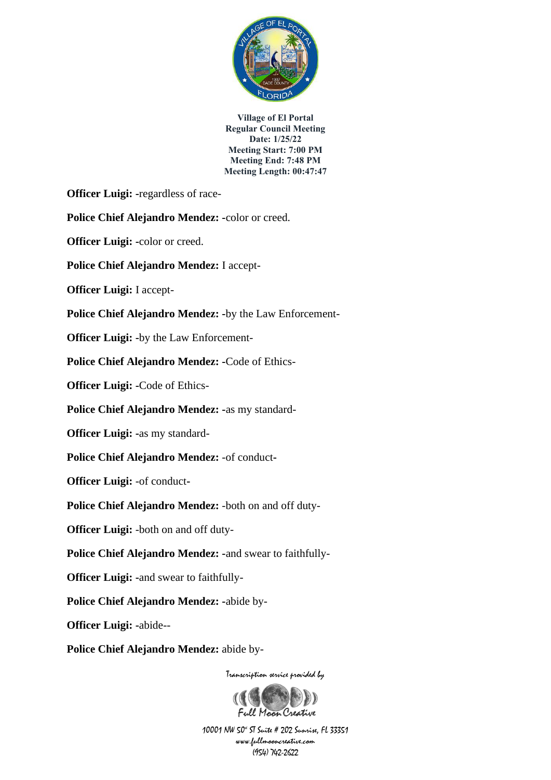

**Officer Luigi: -**regardless of race-

**Police Chief Alejandro Mendez: -**color or creed.

**Officer Luigi: -**color or creed.

**Police Chief Alejandro Mendez:** I accept-

**Officer Luigi:** I accept-

**Police Chief Alejandro Mendez: -**by the Law Enforcement-

**Officer Luigi: -**by the Law Enforcement-

**Police Chief Alejandro Mendez: -**Code of Ethics-

**Officer Luigi: -**Code of Ethics-

**Police Chief Alejandro Mendez: -**as my standard-

**Officer Luigi: -**as my standard-

**Police Chief Alejandro Mendez:** -of conduct**-**

**Officer Luigi:** -of conduct**-**

**Police Chief Alejandro Mendez:** -both on and off duty-

**Officer Luigi:** -both on and off duty-

**Police Chief Alejandro Mendez: -**and swear to faithfully-

**Officer Luigi: -**and swear to faithfully-

**Police Chief Alejandro Mendez: -**abide by-

**Officer Luigi: -**abide--

**Police Chief Alejandro Mendez:** abide by-

Transcription service provided by

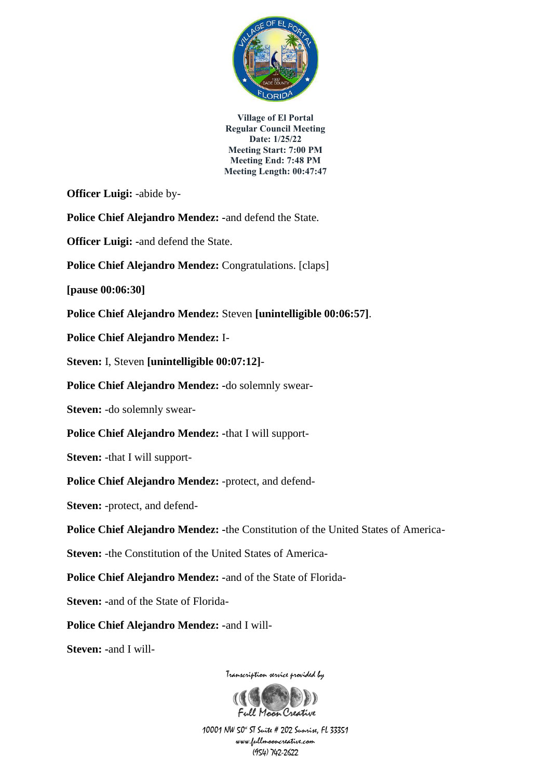

**Officer Luigi:** -abide by-

**Police Chief Alejandro Mendez: -**and defend the State.

**Officer Luigi: -**and defend the State.

**Police Chief Alejandro Mendez:** Congratulations. [claps]

**[pause 00:06:30]**

**Police Chief Alejandro Mendez:** Steven **[unintelligible 00:06:57]**.

**Police Chief Alejandro Mendez:** I-

**Steven:** I, Steven **[unintelligible 00:07:12]**-

**Police Chief Alejandro Mendez: -**do solemnly swear-

**Steven:** -do solemnly swear-

**Police Chief Alejandro Mendez: -**that I will support-

**Steven:** -that I will support-

**Police Chief Alejandro Mendez:** -protect, and defend-

**Steven:** -protect, and defend-

**Police Chief Alejandro Mendez: -**the Constitution of the United States of America-

**Steven:** -the Constitution of the United States of America-

**Police Chief Alejandro Mendez: -**and of the State of Florida-

**Steven: -**and of the State of Florida-

**Police Chief Alejandro Mendez: -**and I will-

**Steven: -**and I will-

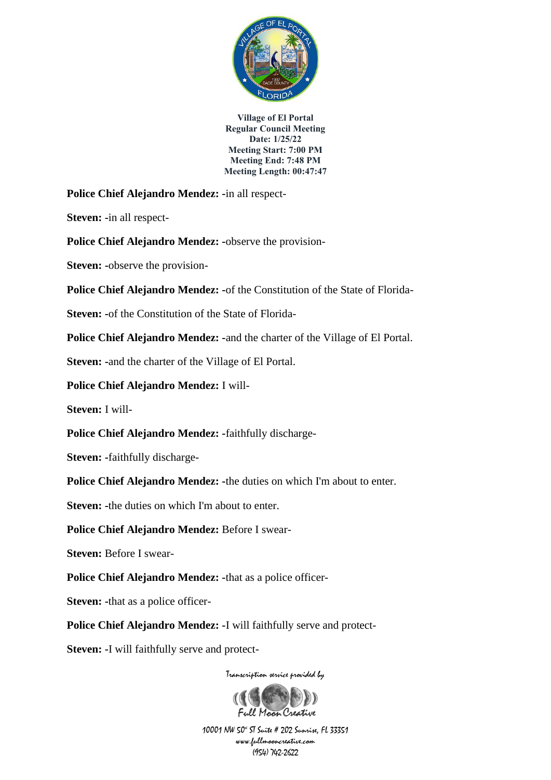

**Police Chief Alejandro Mendez: -**in all respect-

**Steven: -**in all respect-

**Police Chief Alejandro Mendez: -**observe the provision-

**Steven: -**observe the provision-

**Police Chief Alejandro Mendez: -**of the Constitution of the State of Florida-

**Steven: -**of the Constitution of the State of Florida-

**Police Chief Alejandro Mendez: -**and the charter of the Village of El Portal.

**Steven: -**and the charter of the Village of El Portal.

**Police Chief Alejandro Mendez:** I will-

**Steven:** I will-

**Police Chief Alejandro Mendez: -**faithfully discharge-

**Steven: -**faithfully discharge-

**Police Chief Alejandro Mendez: -**the duties on which I'm about to enter.

**Steven:** -the duties on which I'm about to enter.

**Police Chief Alejandro Mendez:** Before I swear-

**Steven:** Before I swear-

**Police Chief Alejandro Mendez: -**that as a police officer-

**Steven:** -that as a police officer-

**Police Chief Alejandro Mendez: -**I will faithfully serve and protect-

**Steven: -**I will faithfully serve and protect-

Transcription service provided by

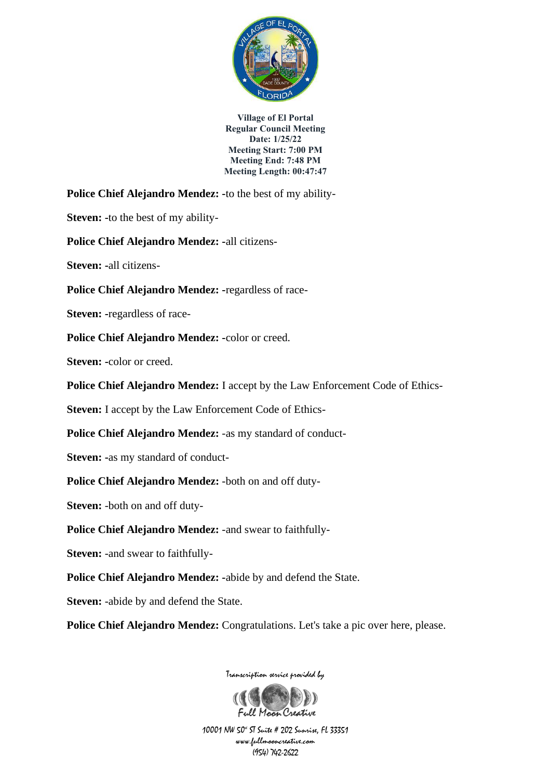

**Police Chief Alejandro Mendez: -**to the best of my ability-

**Steven: -**to the best of my ability-

**Police Chief Alejandro Mendez: -**all citizens-

**Steven: -**all citizens-

**Police Chief Alejandro Mendez: -**regardless of race-

**Steven: -**regardless of race-

**Police Chief Alejandro Mendez: -**color or creed.

**Steven: -**color or creed.

**Police Chief Alejandro Mendez:** I accept by the Law Enforcement Code of Ethics-

**Steven:** I accept by the Law Enforcement Code of Ethics-

**Police Chief Alejandro Mendez:** -as my standard of conduct-

**Steven: -**as my standard of conduct-

**Police Chief Alejandro Mendez:** -both on and off duty-

**Steven:** -both on and off duty-

**Police Chief Alejandro Mendez:** -and swear to faithfully-

**Steven:** -and swear to faithfully-

**Police Chief Alejandro Mendez: -**abide by and defend the State.

**Steven:** -abide by and defend the State.

**Police Chief Alejandro Mendez:** Congratulations. Let's take a pic over here, please.



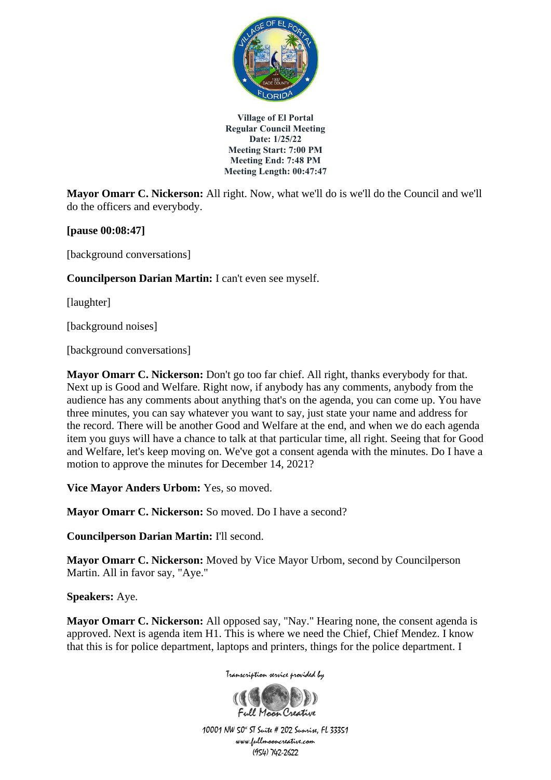

**Mayor Omarr C. Nickerson:** All right. Now, what we'll do is we'll do the Council and we'll do the officers and everybody.

**[pause 00:08:47]**

[background conversations]

**Councilperson Darian Martin:** I can't even see myself.

[laughter]

[background noises]

[background conversations]

**Mayor Omarr C. Nickerson:** Don't go too far chief. All right, thanks everybody for that. Next up is Good and Welfare. Right now, if anybody has any comments, anybody from the audience has any comments about anything that's on the agenda, you can come up. You have three minutes, you can say whatever you want to say, just state your name and address for the record. There will be another Good and Welfare at the end, and when we do each agenda item you guys will have a chance to talk at that particular time, all right. Seeing that for Good and Welfare, let's keep moving on. We've got a consent agenda with the minutes. Do I have a motion to approve the minutes for December 14, 2021?

**Vice Mayor Anders Urbom:** Yes, so moved.

**Mayor Omarr C. Nickerson:** So moved. Do I have a second?

**Councilperson Darian Martin:** I'll second.

**Mayor Omarr C. Nickerson:** Moved by Vice Mayor Urbom, second by Councilperson Martin. All in favor say, "Aye."

**Speakers:** Aye.

**Mayor Omarr C. Nickerson:** All opposed say, "Nay." Hearing none, the consent agenda is approved. Next is agenda item H1. This is where we need the Chief, Chief Mendez. I know that this is for police department, laptops and printers, things for the police department. I

Transcription service provided by

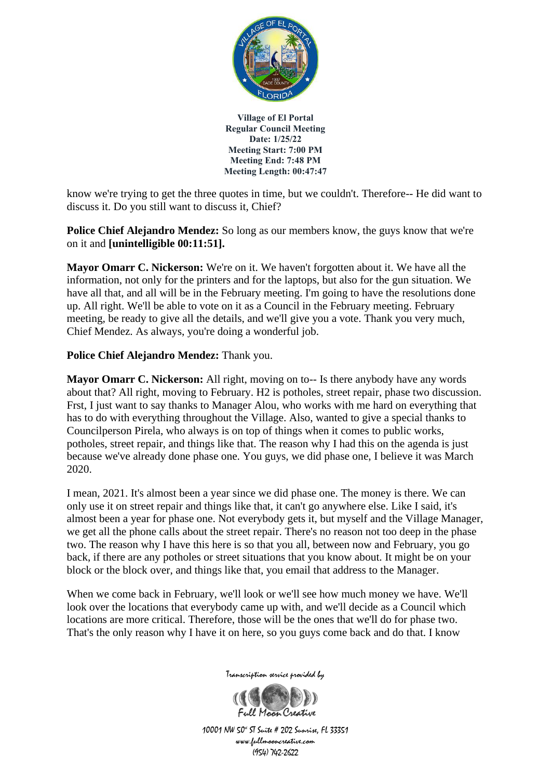

know we're trying to get the three quotes in time, but we couldn't. Therefore-- He did want to discuss it. Do you still want to discuss it, Chief?

**Police Chief Alejandro Mendez:** So long as our members know, the guys know that we're on it and **[unintelligible 00:11:51].**

**Mayor Omarr C. Nickerson:** We're on it. We haven't forgotten about it. We have all the information, not only for the printers and for the laptops, but also for the gun situation. We have all that, and all will be in the February meeting. I'm going to have the resolutions done up. All right. We'll be able to vote on it as a Council in the February meeting. February meeting, be ready to give all the details, and we'll give you a vote. Thank you very much, Chief Mendez. As always, you're doing a wonderful job.

## **Police Chief Alejandro Mendez:** Thank you.

**Mayor Omarr C. Nickerson:** All right, moving on to-- Is there anybody have any words about that? All right, moving to February. H2 is potholes, street repair, phase two discussion. Frst, I just want to say thanks to Manager Alou, who works with me hard on everything that has to do with everything throughout the Village. Also, wanted to give a special thanks to Councilperson Pirela, who always is on top of things when it comes to public works, potholes, street repair, and things like that. The reason why I had this on the agenda is just because we've already done phase one. You guys, we did phase one, I believe it was March 2020.

I mean, 2021. It's almost been a year since we did phase one. The money is there. We can only use it on street repair and things like that, it can't go anywhere else. Like I said, it's almost been a year for phase one. Not everybody gets it, but myself and the Village Manager, we get all the phone calls about the street repair. There's no reason not too deep in the phase two. The reason why I have this here is so that you all, between now and February, you go back, if there are any potholes or street situations that you know about. It might be on your block or the block over, and things like that, you email that address to the Manager.

When we come back in February, we'll look or we'll see how much money we have. We'll look over the locations that everybody came up with, and we'll decide as a Council which locations are more critical. Therefore, those will be the ones that we'll do for phase two. That's the only reason why I have it on here, so you guys come back and do that. I know



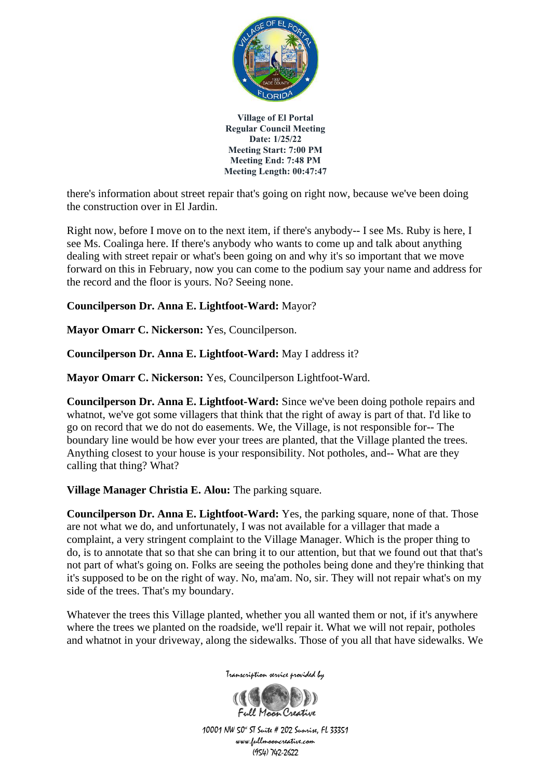

there's information about street repair that's going on right now, because we've been doing the construction over in El Jardin.

Right now, before I move on to the next item, if there's anybody-- I see Ms. Ruby is here, I see Ms. Coalinga here. If there's anybody who wants to come up and talk about anything dealing with street repair or what's been going on and why it's so important that we move forward on this in February, now you can come to the podium say your name and address for the record and the floor is yours. No? Seeing none.

# **Councilperson Dr. Anna E. Lightfoot-Ward:** Mayor?

**Mayor Omarr C. Nickerson:** Yes, Councilperson.

**Councilperson Dr. Anna E. Lightfoot-Ward:** May I address it?

**Mayor Omarr C. Nickerson:** Yes, Councilperson Lightfoot-Ward.

**Councilperson Dr. Anna E. Lightfoot-Ward:** Since we've been doing pothole repairs and whatnot, we've got some villagers that think that the right of away is part of that. I'd like to go on record that we do not do easements. We, the Village, is not responsible for-- The boundary line would be how ever your trees are planted, that the Village planted the trees. Anything closest to your house is your responsibility. Not potholes, and-- What are they calling that thing? What?

**Village Manager Christia E. Alou:** The parking square.

**Councilperson Dr. Anna E. Lightfoot-Ward:** Yes, the parking square, none of that. Those are not what we do, and unfortunately, I was not available for a villager that made a complaint, a very stringent complaint to the Village Manager. Which is the proper thing to do, is to annotate that so that she can bring it to our attention, but that we found out that that's not part of what's going on. Folks are seeing the potholes being done and they're thinking that it's supposed to be on the right of way. No, ma'am. No, sir. They will not repair what's on my side of the trees. That's my boundary.

Whatever the trees this Village planted, whether you all wanted them or not, if it's anywhere where the trees we planted on the roadside, we'll repair it. What we will not repair, potholes and whatnot in your driveway, along the sidewalks. Those of you all that have sidewalks. We

Transcription service provided by

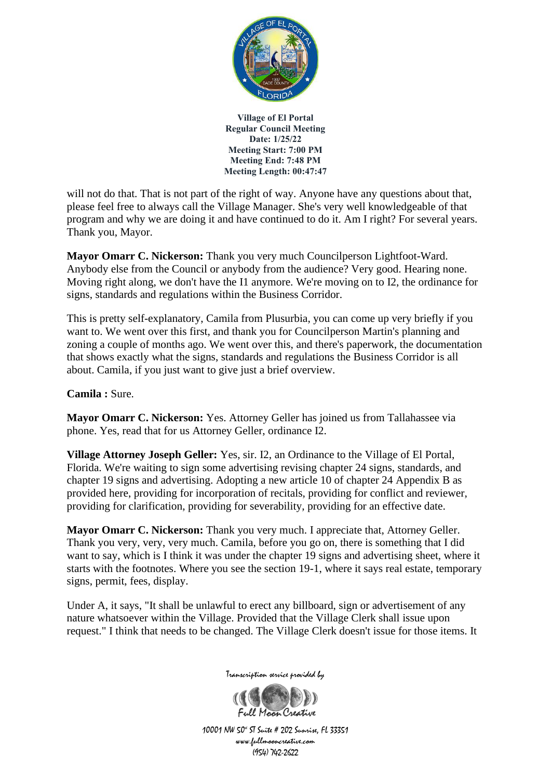

will not do that. That is not part of the right of way. Anyone have any questions about that, please feel free to always call the Village Manager. She's very well knowledgeable of that program and why we are doing it and have continued to do it. Am I right? For several years. Thank you, Mayor.

**Mayor Omarr C. Nickerson:** Thank you very much Councilperson Lightfoot-Ward. Anybody else from the Council or anybody from the audience? Very good. Hearing none. Moving right along, we don't have the I1 anymore. We're moving on to I2, the ordinance for signs, standards and regulations within the Business Corridor.

This is pretty self-explanatory, Camila from Plusurbia, you can come up very briefly if you want to. We went over this first, and thank you for Councilperson Martin's planning and zoning a couple of months ago. We went over this, and there's paperwork, the documentation that shows exactly what the signs, standards and regulations the Business Corridor is all about. Camila, if you just want to give just a brief overview.

**Camila :** Sure.

**Mayor Omarr C. Nickerson:** Yes. Attorney Geller has joined us from Tallahassee via phone. Yes, read that for us Attorney Geller, ordinance I2.

**Village Attorney Joseph Geller:** Yes, sir. I2, an Ordinance to the Village of El Portal, Florida. We're waiting to sign some advertising revising chapter 24 signs, standards, and chapter 19 signs and advertising. Adopting a new article 10 of chapter 24 Appendix B as provided here, providing for incorporation of recitals, providing for conflict and reviewer, providing for clarification, providing for severability, providing for an effective date.

**Mayor Omarr C. Nickerson:** Thank you very much. I appreciate that, Attorney Geller. Thank you very, very, very much. Camila, before you go on, there is something that I did want to say, which is I think it was under the chapter 19 signs and advertising sheet, where it starts with the footnotes. Where you see the section 19-1, where it says real estate, temporary signs, permit, fees, display.

Under A, it says, "It shall be unlawful to erect any billboard, sign or advertisement of any nature whatsoever within the Village. Provided that the Village Clerk shall issue upon request." I think that needs to be changed. The Village Clerk doesn't issue for those items. It



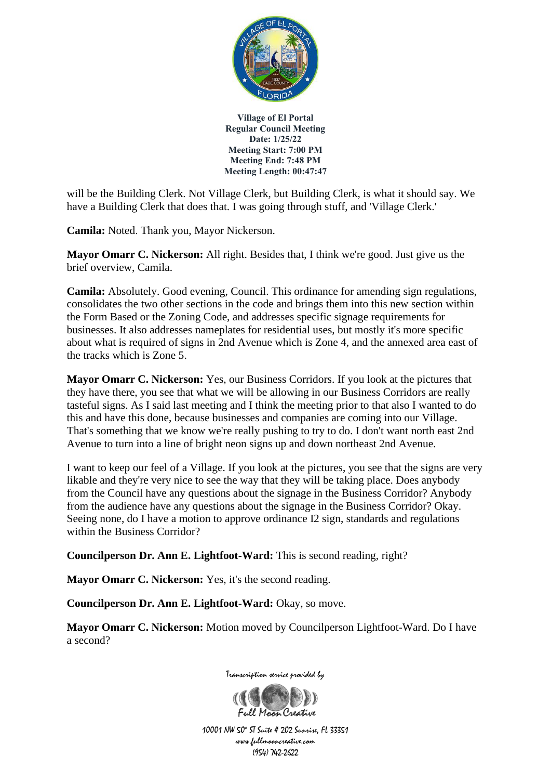

will be the Building Clerk. Not Village Clerk, but Building Clerk, is what it should say. We have a Building Clerk that does that. I was going through stuff, and 'Village Clerk.'

**Camila:** Noted. Thank you, Mayor Nickerson.

**Mayor Omarr C. Nickerson:** All right. Besides that, I think we're good. Just give us the brief overview, Camila.

**Camila:** Absolutely. Good evening, Council. This ordinance for amending sign regulations, consolidates the two other sections in the code and brings them into this new section within the Form Based or the Zoning Code, and addresses specific signage requirements for businesses. It also addresses nameplates for residential uses, but mostly it's more specific about what is required of signs in 2nd Avenue which is Zone 4, and the annexed area east of the tracks which is Zone 5.

**Mayor Omarr C. Nickerson:** Yes, our Business Corridors. If you look at the pictures that they have there, you see that what we will be allowing in our Business Corridors are really tasteful signs. As I said last meeting and I think the meeting prior to that also I wanted to do this and have this done, because businesses and companies are coming into our Village. That's something that we know we're really pushing to try to do. I don't want north east 2nd Avenue to turn into a line of bright neon signs up and down northeast 2nd Avenue.

I want to keep our feel of a Village. If you look at the pictures, you see that the signs are very likable and they're very nice to see the way that they will be taking place. Does anybody from the Council have any questions about the signage in the Business Corridor? Anybody from the audience have any questions about the signage in the Business Corridor? Okay. Seeing none, do I have a motion to approve ordinance I2 sign, standards and regulations within the Business Corridor?

**Councilperson Dr. Ann E. Lightfoot-Ward:** This is second reading, right?

**Mayor Omarr C. Nickerson:** Yes, it's the second reading.

**Councilperson Dr. Ann E. Lightfoot-Ward:** Okay, so move.

**Mayor Omarr C. Nickerson:** Motion moved by Councilperson Lightfoot-Ward. Do I have a second?



Transcription service provided by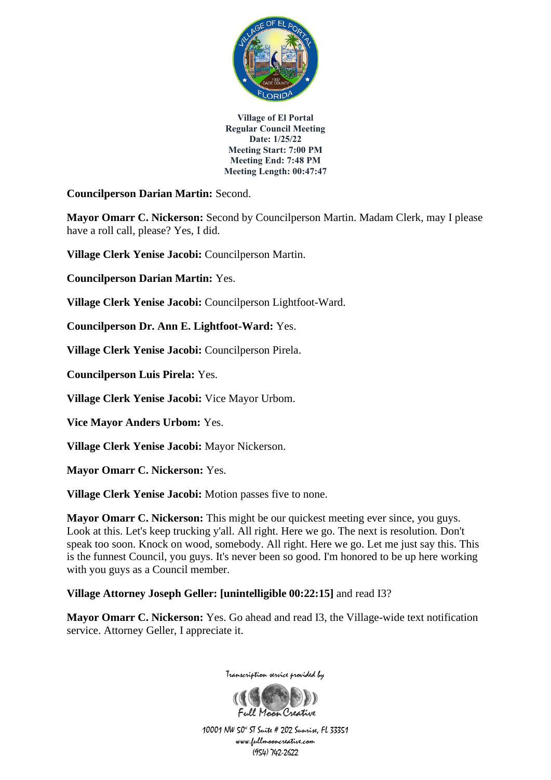

**Councilperson Darian Martin:** Second.

**Mayor Omarr C. Nickerson:** Second by Councilperson Martin. Madam Clerk, may I please have a roll call, please? Yes, I did.

**Village Clerk Yenise Jacobi:** Councilperson Martin.

**Councilperson Darian Martin:** Yes.

**Village Clerk Yenise Jacobi:** Councilperson Lightfoot-Ward.

**Councilperson Dr. Ann E. Lightfoot-Ward:** Yes.

**Village Clerk Yenise Jacobi:** Councilperson Pirela.

**Councilperson Luis Pirela:** Yes.

**Village Clerk Yenise Jacobi:** Vice Mayor Urbom.

**Vice Mayor Anders Urbom:** Yes.

**Village Clerk Yenise Jacobi:** Mayor Nickerson.

**Mayor Omarr C. Nickerson:** Yes.

**Village Clerk Yenise Jacobi:** Motion passes five to none.

**Mayor Omarr C. Nickerson:** This might be our quickest meeting ever since, you guys. Look at this. Let's keep trucking y'all. All right. Here we go. The next is resolution. Don't speak too soon. Knock on wood, somebody. All right. Here we go. Let me just say this. This is the funnest Council, you guys. It's never been so good. I'm honored to be up here working with you guys as a Council member.

## **Village Attorney Joseph Geller: [unintelligible 00:22:15]** and read I3?

**Mayor Omarr C. Nickerson:** Yes. Go ahead and read I3, the Village-wide text notification service. Attorney Geller, I appreciate it.

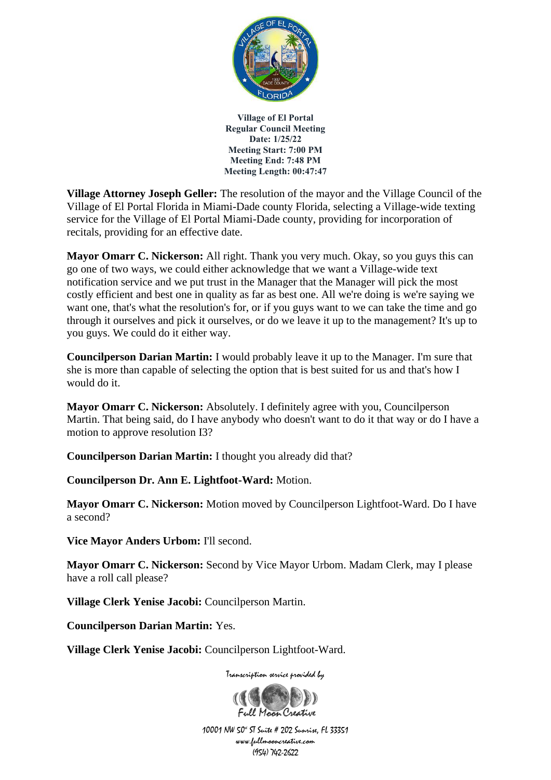

**Village Attorney Joseph Geller:** The resolution of the mayor and the Village Council of the Village of El Portal Florida in Miami-Dade county Florida, selecting a Village-wide texting service for the Village of El Portal Miami-Dade county, providing for incorporation of recitals, providing for an effective date.

**Mayor Omarr C. Nickerson:** All right. Thank you very much. Okay, so you guys this can go one of two ways, we could either acknowledge that we want a Village-wide text notification service and we put trust in the Manager that the Manager will pick the most costly efficient and best one in quality as far as best one. All we're doing is we're saying we want one, that's what the resolution's for, or if you guys want to we can take the time and go through it ourselves and pick it ourselves, or do we leave it up to the management? It's up to you guys. We could do it either way.

**Councilperson Darian Martin:** I would probably leave it up to the Manager. I'm sure that she is more than capable of selecting the option that is best suited for us and that's how I would do it.

**Mayor Omarr C. Nickerson:** Absolutely. I definitely agree with you, Councilperson Martin. That being said, do I have anybody who doesn't want to do it that way or do I have a motion to approve resolution I3?

**Councilperson Darian Martin:** I thought you already did that?

**Councilperson Dr. Ann E. Lightfoot-Ward:** Motion.

**Mayor Omarr C. Nickerson:** Motion moved by Councilperson Lightfoot-Ward. Do I have a second?

**Vice Mayor Anders Urbom:** I'll second.

**Mayor Omarr C. Nickerson:** Second by Vice Mayor Urbom. Madam Clerk, may I please have a roll call please?

**Village Clerk Yenise Jacobi:** Councilperson Martin.

**Councilperson Darian Martin:** Yes.

**Village Clerk Yenise Jacobi:** Councilperson Lightfoot-Ward.

Transcription service provided by

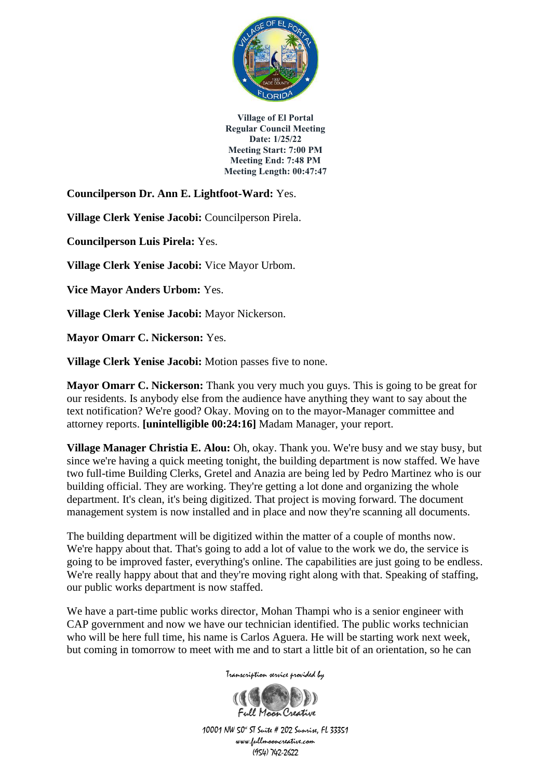

**Councilperson Dr. Ann E. Lightfoot-Ward:** Yes.

**Village Clerk Yenise Jacobi:** Councilperson Pirela.

**Councilperson Luis Pirela:** Yes.

**Village Clerk Yenise Jacobi:** Vice Mayor Urbom.

**Vice Mayor Anders Urbom:** Yes.

**Village Clerk Yenise Jacobi:** Mayor Nickerson.

**Mayor Omarr C. Nickerson:** Yes.

**Village Clerk Yenise Jacobi:** Motion passes five to none.

**Mayor Omarr C. Nickerson:** Thank you very much you guys. This is going to be great for our residents. Is anybody else from the audience have anything they want to say about the text notification? We're good? Okay. Moving on to the mayor-Manager committee and attorney reports. **[unintelligible 00:24:16]** Madam Manager, your report.

**Village Manager Christia E. Alou:** Oh, okay. Thank you. We're busy and we stay busy, but since we're having a quick meeting tonight, the building department is now staffed. We have two full-time Building Clerks, Gretel and Anazia are being led by Pedro Martinez who is our building official. They are working. They're getting a lot done and organizing the whole department. It's clean, it's being digitized. That project is moving forward. The document management system is now installed and in place and now they're scanning all documents.

The building department will be digitized within the matter of a couple of months now. We're happy about that. That's going to add a lot of value to the work we do, the service is going to be improved faster, everything's online. The capabilities are just going to be endless. We're really happy about that and they're moving right along with that. Speaking of staffing, our public works department is now staffed.

We have a part-time public works director, Mohan Thampi who is a senior engineer with CAP government and now we have our technician identified. The public works technician who will be here full time, his name is Carlos Aguera. He will be starting work next week, but coming in tomorrow to meet with me and to start a little bit of an orientation, so he can

Transcription service provided by

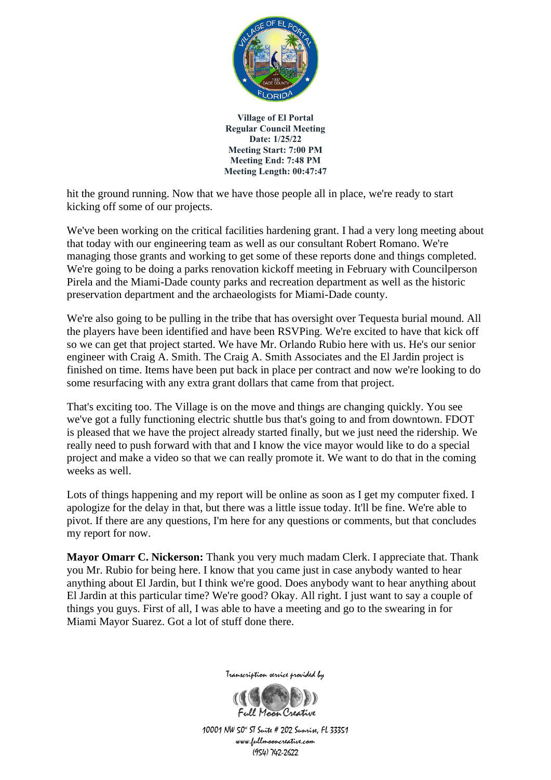

hit the ground running. Now that we have those people all in place, we're ready to start kicking off some of our projects.

We've been working on the critical facilities hardening grant. I had a very long meeting about that today with our engineering team as well as our consultant Robert Romano. We're managing those grants and working to get some of these reports done and things completed. We're going to be doing a parks renovation kickoff meeting in February with Councilperson Pirela and the Miami-Dade county parks and recreation department as well as the historic preservation department and the archaeologists for Miami-Dade county.

We're also going to be pulling in the tribe that has oversight over Tequesta burial mound. All the players have been identified and have been RSVPing. We're excited to have that kick off so we can get that project started. We have Mr. Orlando Rubio here with us. He's our senior engineer with Craig A. Smith. The Craig A. Smith Associates and the El Jardin project is finished on time. Items have been put back in place per contract and now we're looking to do some resurfacing with any extra grant dollars that came from that project.

That's exciting too. The Village is on the move and things are changing quickly. You see we've got a fully functioning electric shuttle bus that's going to and from downtown. FDOT is pleased that we have the project already started finally, but we just need the ridership. We really need to push forward with that and I know the vice mayor would like to do a special project and make a video so that we can really promote it. We want to do that in the coming weeks as well.

Lots of things happening and my report will be online as soon as I get my computer fixed. I apologize for the delay in that, but there was a little issue today. It'll be fine. We're able to pivot. If there are any questions, I'm here for any questions or comments, but that concludes my report for now.

**Mayor Omarr C. Nickerson:** Thank you very much madam Clerk. I appreciate that. Thank you Mr. Rubio for being here. I know that you came just in case anybody wanted to hear anything about El Jardin, but I think we're good. Does anybody want to hear anything about El Jardin at this particular time? We're good? Okay. All right. I just want to say a couple of things you guys. First of all, I was able to have a meeting and go to the swearing in for Miami Mayor Suarez. Got a lot of stuff done there.



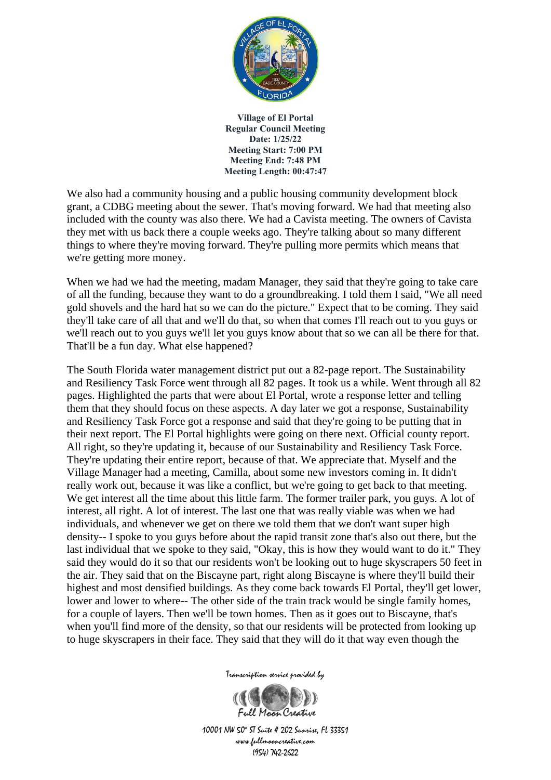

We also had a community housing and a public housing community development block grant, a CDBG meeting about the sewer. That's moving forward. We had that meeting also included with the county was also there. We had a Cavista meeting. The owners of Cavista they met with us back there a couple weeks ago. They're talking about so many different things to where they're moving forward. They're pulling more permits which means that we're getting more money.

When we had we had the meeting, madam Manager, they said that they're going to take care of all the funding, because they want to do a groundbreaking. I told them I said, "We all need gold shovels and the hard hat so we can do the picture." Expect that to be coming. They said they'll take care of all that and we'll do that, so when that comes I'll reach out to you guys or we'll reach out to you guys we'll let you guys know about that so we can all be there for that. That'll be a fun day. What else happened?

The South Florida water management district put out a 82-page report. The Sustainability and Resiliency Task Force went through all 82 pages. It took us a while. Went through all 82 pages. Highlighted the parts that were about El Portal, wrote a response letter and telling them that they should focus on these aspects. A day later we got a response, Sustainability and Resiliency Task Force got a response and said that they're going to be putting that in their next report. The El Portal highlights were going on there next. Official county report. All right, so they're updating it, because of our Sustainability and Resiliency Task Force. They're updating their entire report, because of that. We appreciate that. Myself and the Village Manager had a meeting, Camilla, about some new investors coming in. It didn't really work out, because it was like a conflict, but we're going to get back to that meeting. We get interest all the time about this little farm. The former trailer park, you guys. A lot of interest, all right. A lot of interest. The last one that was really viable was when we had individuals, and whenever we get on there we told them that we don't want super high density-- I spoke to you guys before about the rapid transit zone that's also out there, but the last individual that we spoke to they said, "Okay, this is how they would want to do it." They said they would do it so that our residents won't be looking out to huge skyscrapers 50 feet in the air. They said that on the Biscayne part, right along Biscayne is where they'll build their highest and most densified buildings. As they come back towards El Portal, they'll get lower, lower and lower to where-- The other side of the train track would be single family homes, for a couple of layers. Then we'll be town homes. Then as it goes out to Biscayne, that's when you'll find more of the density, so that our residents will be protected from looking up to huge skyscrapers in their face. They said that they will do it that way even though the

Transcription service provided by

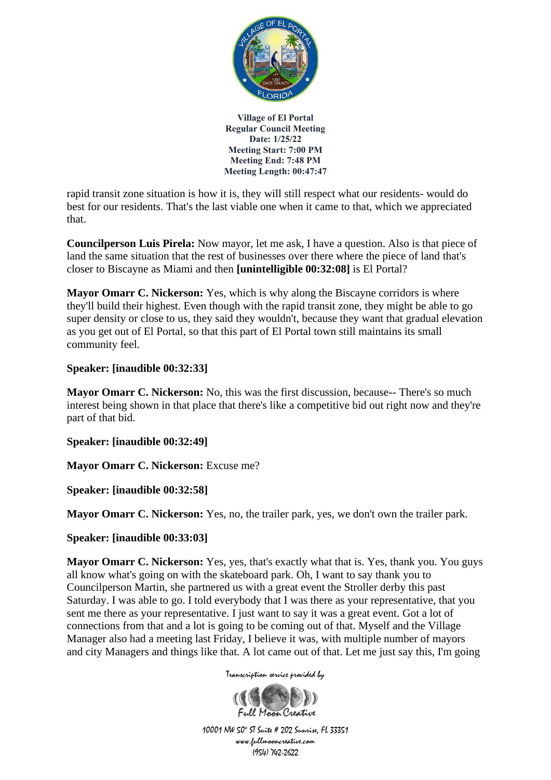

rapid transit zone situation is how it is, they will still respect what our residents- would do best for our residents. That's the last viable one when it came to that, which we appreciated that.

**Councilperson Luis Pirela:** Now mayor, let me ask, I have a question. Also is that piece of land the same situation that the rest of businesses over there where the piece of land that's closer to Biscayne as Miami and then **[unintelligible 00:32:08]** is El Portal?

**Mayor Omarr C. Nickerson:** Yes, which is why along the Biscayne corridors is where they'll build their highest. Even though with the rapid transit zone, they might be able to go super density or close to us, they said they wouldn't, because they want that gradual elevation as you get out of El Portal, so that this part of El Portal town still maintains its small community feel.

## **Speaker: [inaudible 00:32:33]**

**Mayor Omarr C. Nickerson:** No, this was the first discussion, because-- There's so much interest being shown in that place that there's like a competitive bid out right now and they're part of that bid.

**Speaker: [inaudible 00:32:49]**

**Mayor Omarr C. Nickerson:** Excuse me?

**Speaker: [inaudible 00:32:58]**

**Mayor Omarr C. Nickerson:** Yes, no, the trailer park, yes, we don't own the trailer park.

**Speaker: [inaudible 00:33:03]**

**Mayor Omarr C. Nickerson:** Yes, yes, that's exactly what that is. Yes, thank you. You guys all know what's going on with the skateboard park. Oh, I want to say thank you to Councilperson Martin, she partnered us with a great event the Stroller derby this past Saturday. I was able to go. I told everybody that I was there as your representative, that you sent me there as your representative. I just want to say it was a great event. Got a lot of connections from that and a lot is going to be coming out of that. Myself and the Village Manager also had a meeting last Friday, I believe it was, with multiple number of mayors and city Managers and things like that. A lot came out of that. Let me just say this, I'm going

Transcription service provided by

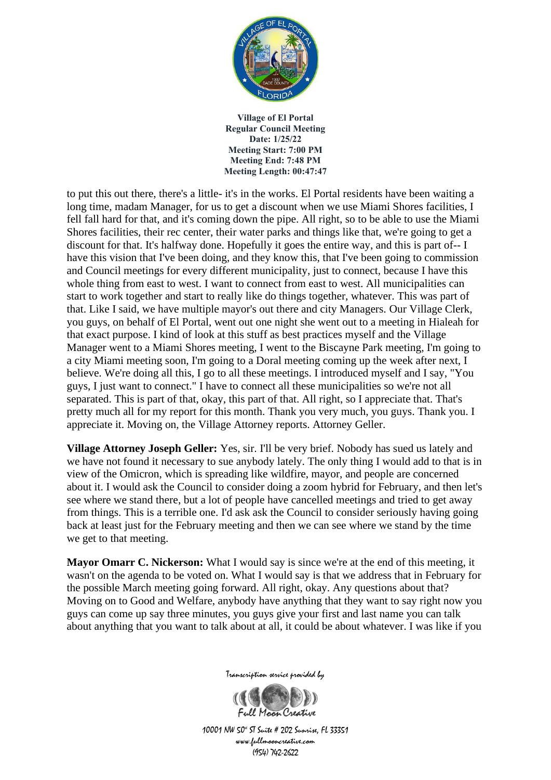

to put this out there, there's a little- it's in the works. El Portal residents have been waiting a long time, madam Manager, for us to get a discount when we use Miami Shores facilities, I fell fall hard for that, and it's coming down the pipe. All right, so to be able to use the Miami Shores facilities, their rec center, their water parks and things like that, we're going to get a discount for that. It's halfway done. Hopefully it goes the entire way, and this is part of-- I have this vision that I've been doing, and they know this, that I've been going to commission and Council meetings for every different municipality, just to connect, because I have this whole thing from east to west. I want to connect from east to west. All municipalities can start to work together and start to really like do things together, whatever. This was part of that. Like I said, we have multiple mayor's out there and city Managers. Our Village Clerk, you guys, on behalf of El Portal, went out one night she went out to a meeting in Hialeah for that exact purpose. I kind of look at this stuff as best practices myself and the Village Manager went to a Miami Shores meeting, I went to the Biscayne Park meeting, I'm going to a city Miami meeting soon, I'm going to a Doral meeting coming up the week after next, I believe. We're doing all this, I go to all these meetings. I introduced myself and I say, "You guys, I just want to connect." I have to connect all these municipalities so we're not all separated. This is part of that, okay, this part of that. All right, so I appreciate that. That's pretty much all for my report for this month. Thank you very much, you guys. Thank you. I appreciate it. Moving on, the Village Attorney reports. Attorney Geller.

**Village Attorney Joseph Geller:** Yes, sir. I'll be very brief. Nobody has sued us lately and we have not found it necessary to sue anybody lately. The only thing I would add to that is in view of the Omicron, which is spreading like wildfire, mayor, and people are concerned about it. I would ask the Council to consider doing a zoom hybrid for February, and then let's see where we stand there, but a lot of people have cancelled meetings and tried to get away from things. This is a terrible one. I'd ask ask the Council to consider seriously having going back at least just for the February meeting and then we can see where we stand by the time we get to that meeting.

**Mayor Omarr C. Nickerson:** What I would say is since we're at the end of this meeting, it wasn't on the agenda to be voted on. What I would say is that we address that in February for the possible March meeting going forward. All right, okay. Any questions about that? Moving on to Good and Welfare, anybody have anything that they want to say right now you guys can come up say three minutes, you guys give your first and last name you can talk about anything that you want to talk about at all, it could be about whatever. I was like if you



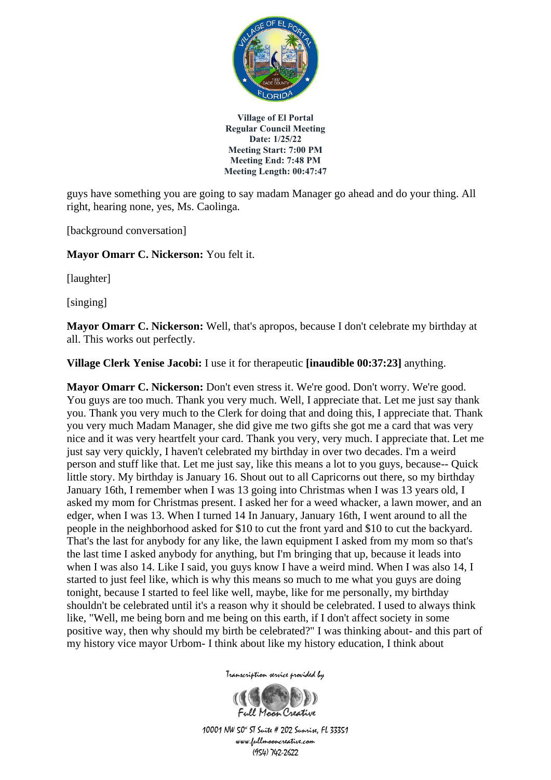

guys have something you are going to say madam Manager go ahead and do your thing. All right, hearing none, yes, Ms. Caolinga.

[background conversation]

**Mayor Omarr C. Nickerson:** You felt it.

[laughter]

[singing]

**Mayor Omarr C. Nickerson:** Well, that's apropos, because I don't celebrate my birthday at all. This works out perfectly.

**Village Clerk Yenise Jacobi:** I use it for therapeutic **[inaudible 00:37:23]** anything.

**Mayor Omarr C. Nickerson:** Don't even stress it. We're good. Don't worry. We're good. You guys are too much. Thank you very much. Well, I appreciate that. Let me just say thank you. Thank you very much to the Clerk for doing that and doing this, I appreciate that. Thank you very much Madam Manager, she did give me two gifts she got me a card that was very nice and it was very heartfelt your card. Thank you very, very much. I appreciate that. Let me just say very quickly, I haven't celebrated my birthday in over two decades. I'm a weird person and stuff like that. Let me just say, like this means a lot to you guys, because-- Quick little story. My birthday is January 16. Shout out to all Capricorns out there, so my birthday January 16th, I remember when I was 13 going into Christmas when I was 13 years old, I asked my mom for Christmas present. I asked her for a weed whacker, a lawn mower, and an edger, when I was 13. When I turned 14 In January, January 16th, I went around to all the people in the neighborhood asked for \$10 to cut the front yard and \$10 to cut the backyard. That's the last for anybody for any like, the lawn equipment I asked from my mom so that's the last time I asked anybody for anything, but I'm bringing that up, because it leads into when I was also 14. Like I said, you guys know I have a weird mind. When I was also 14, I started to just feel like, which is why this means so much to me what you guys are doing tonight, because I started to feel like well, maybe, like for me personally, my birthday shouldn't be celebrated until it's a reason why it should be celebrated. I used to always think like, "Well, me being born and me being on this earth, if I don't affect society in some positive way, then why should my birth be celebrated?" I was thinking about- and this part of my history vice mayor Urbom- I think about like my history education, I think about

Transcription service provided by

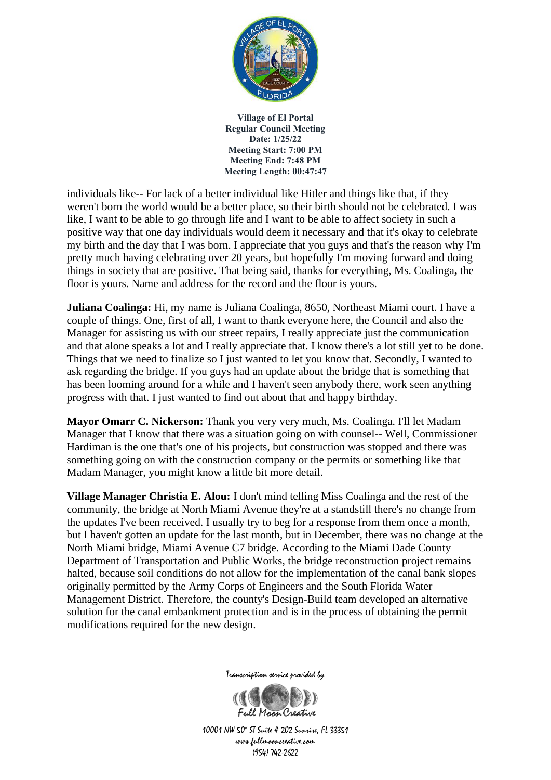

individuals like-- For lack of a better individual like Hitler and things like that, if they weren't born the world would be a better place, so their birth should not be celebrated. I was like, I want to be able to go through life and I want to be able to affect society in such a positive way that one day individuals would deem it necessary and that it's okay to celebrate my birth and the day that I was born. I appreciate that you guys and that's the reason why I'm pretty much having celebrating over 20 years, but hopefully I'm moving forward and doing things in society that are positive. That being said, thanks for everything, Ms. Coalinga**,** the floor is yours. Name and address for the record and the floor is yours.

**Juliana Coalinga:** Hi, my name is Juliana Coalinga, 8650, Northeast Miami court. I have a couple of things. One, first of all, I want to thank everyone here, the Council and also the Manager for assisting us with our street repairs, I really appreciate just the communication and that alone speaks a lot and I really appreciate that. I know there's a lot still yet to be done. Things that we need to finalize so I just wanted to let you know that. Secondly, I wanted to ask regarding the bridge. If you guys had an update about the bridge that is something that has been looming around for a while and I haven't seen anybody there, work seen anything progress with that. I just wanted to find out about that and happy birthday.

**Mayor Omarr C. Nickerson:** Thank you very very much, Ms. Coalinga. I'll let Madam Manager that I know that there was a situation going on with counsel-- Well, Commissioner Hardiman is the one that's one of his projects, but construction was stopped and there was something going on with the construction company or the permits or something like that Madam Manager, you might know a little bit more detail.

**Village Manager Christia E. Alou:** I don't mind telling Miss Coalinga and the rest of the community, the bridge at North Miami Avenue they're at a standstill there's no change from the updates I've been received. I usually try to beg for a response from them once a month, but I haven't gotten an update for the last month, but in December, there was no change at the North Miami bridge, Miami Avenue C7 bridge. According to the Miami Dade County Department of Transportation and Public Works, the bridge reconstruction project remains halted, because soil conditions do not allow for the implementation of the canal bank slopes originally permitted by the Army Corps of Engineers and the South Florida Water Management District. Therefore, the county's Design-Build team developed an alternative solution for the canal embankment protection and is in the process of obtaining the permit modifications required for the new design.



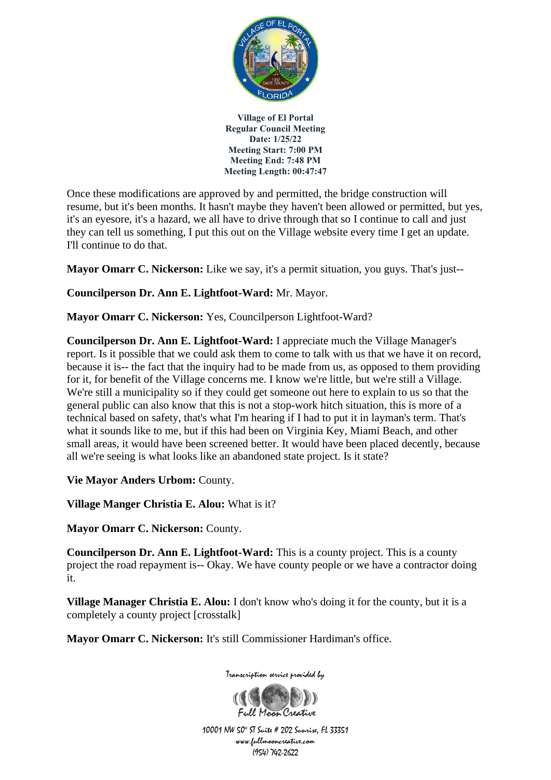

Once these modifications are approved by and permitted, the bridge construction will resume, but it's been months. It hasn't maybe they haven't been allowed or permitted, but yes, it's an eyesore, it's a hazard, we all have to drive through that so I continue to call and just they can tell us something, I put this out on the Village website every time I get an update. I'll continue to do that.

**Mayor Omarr C. Nickerson:** Like we say, it's a permit situation, you guys. That's just--

# **Councilperson Dr. Ann E. Lightfoot-Ward:** Mr. Mayor.

**Mayor Omarr C. Nickerson:** Yes, Councilperson Lightfoot-Ward?

**Councilperson Dr. Ann E. Lightfoot-Ward:** I appreciate much the Village Manager's report. Is it possible that we could ask them to come to talk with us that we have it on record, because it is-- the fact that the inquiry had to be made from us, as opposed to them providing for it, for benefit of the Village concerns me. I know we're little, but we're still a Village. We're still a municipality so if they could get someone out here to explain to us so that the general public can also know that this is not a stop-work hitch situation, this is more of a technical based on safety, that's what I'm hearing if I had to put it in layman's term. That's what it sounds like to me, but if this had been on Virginia Key, Miami Beach, and other small areas, it would have been screened better. It would have been placed decently, because all we're seeing is what looks like an abandoned state project. Is it state?

**Vie Mayor Anders Urbom:** County.

**Village Manger Christia E. Alou:** What is it?

**Mayor Omarr C. Nickerson:** County.

**Councilperson Dr. Ann E. Lightfoot-Ward:** This is a county project. This is a county project the road repayment is-- Okay. We have county people or we have a contractor doing it.

**Village Manager Christia E. Alou:** I don't know who's doing it for the county, but it is a completely a county project [crosstalk]

**Mayor Omarr C. Nickerson:** It's still Commissioner Hardiman's office.



Transcription service provided by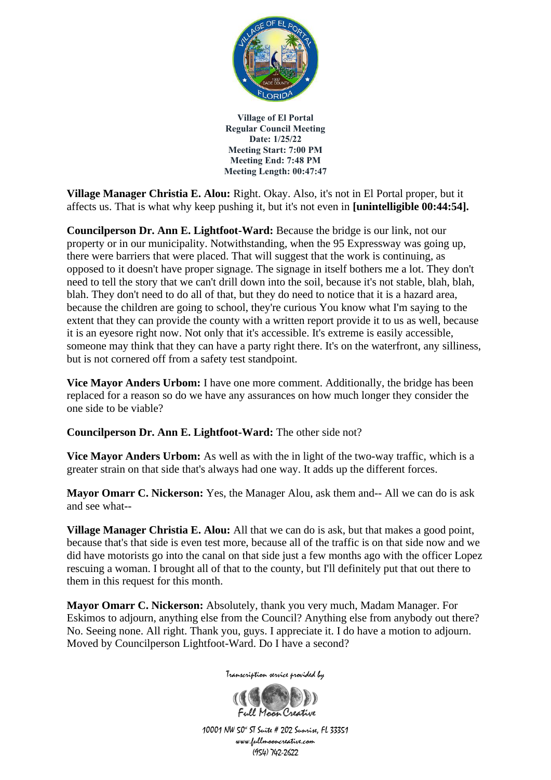

**Village Manager Christia E. Alou:** Right. Okay. Also, it's not in El Portal proper, but it affects us. That is what why keep pushing it, but it's not even in **[unintelligible 00:44:54].**

**Councilperson Dr. Ann E. Lightfoot-Ward:** Because the bridge is our link, not our property or in our municipality. Notwithstanding, when the 95 Expressway was going up, there were barriers that were placed. That will suggest that the work is continuing, as opposed to it doesn't have proper signage. The signage in itself bothers me a lot. They don't need to tell the story that we can't drill down into the soil, because it's not stable, blah, blah, blah. They don't need to do all of that, but they do need to notice that it is a hazard area, because the children are going to school, they're curious You know what I'm saying to the extent that they can provide the county with a written report provide it to us as well, because it is an eyesore right now. Not only that it's accessible. It's extreme is easily accessible, someone may think that they can have a party right there. It's on the waterfront, any silliness, but is not cornered off from a safety test standpoint.

**Vice Mayor Anders Urbom:** I have one more comment. Additionally, the bridge has been replaced for a reason so do we have any assurances on how much longer they consider the one side to be viable?

**Councilperson Dr. Ann E. Lightfoot-Ward:** The other side not?

**Vice Mayor Anders Urbom:** As well as with the in light of the two-way traffic, which is a greater strain on that side that's always had one way. It adds up the different forces.

**Mayor Omarr C. Nickerson:** Yes, the Manager Alou, ask them and-- All we can do is ask and see what--

**Village Manager Christia E. Alou:** All that we can do is ask, but that makes a good point, because that's that side is even test more, because all of the traffic is on that side now and we did have motorists go into the canal on that side just a few months ago with the officer Lopez rescuing a woman. I brought all of that to the county, but I'll definitely put that out there to them in this request for this month.

**Mayor Omarr C. Nickerson:** Absolutely, thank you very much, Madam Manager. For Eskimos to adjourn, anything else from the Council? Anything else from anybody out there? No. Seeing none. All right. Thank you, guys. I appreciate it. I do have a motion to adjourn. Moved by Councilperson Lightfoot-Ward. Do I have a second?